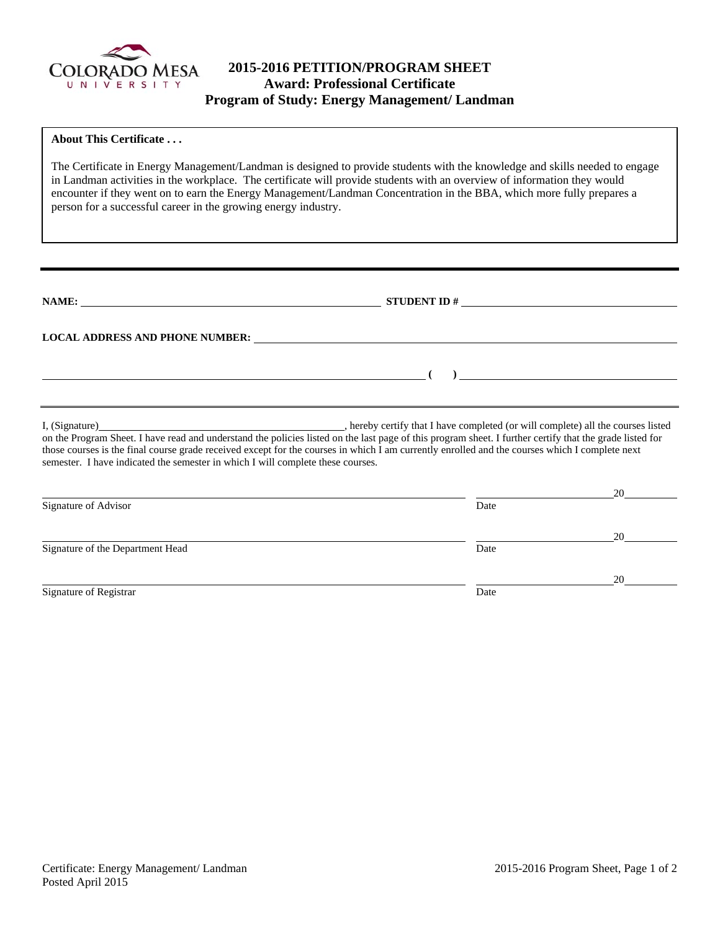

# **2015-2016 PETITION/PROGRAM SHEET Award: Professional Certificate Program of Study: Energy Management/ Landman**

#### **About This Certificate . . .**

The Certificate in Energy Management/Landman is designed to provide students with the knowledge and skills needed to engage in Landman activities in the workplace. The certificate will provide students with an overview of information they would encounter if they went on to earn the Energy Management/Landman Concentration in the BBA, which more fully prepares a person for a successful career in the growing energy industry.

**NAME: STUDENT ID #**

 **(** )  *(* **)**   *(* **) <b>** *(* **)**   *( ) <i> (* **)**   *( ) <i> (* **) <b>)**  *( ) <i> (* **) <b>)**  $\frac{1}{2}$   *( ) <i>*  $\frac{1}{2}$  $\frac{1}{2}$  *<i>*  $\frac{1}{2}$  *<b>h*  $\frac{1}{2}$  *n*  $\frac{1}{2}$  *n*  $\frac{1}{2}$  *n*  $\frac{$ 

**LOCAL ADDRESS AND PHONE NUMBER:**

I, (Signature) **Source 2008** (Signature) **, hereby certify that I have completed** (or will complete) all the courses listed on the Program Sheet. I have read and understand the policies listed on the last page of this program sheet. I further certify that the grade listed for those courses is the final course grade received except for the courses in which I am currently enrolled and the courses which I complete next semester. I have indicated the semester in which I will complete these courses.

|                                  |      | 20 |
|----------------------------------|------|----|
| Signature of Advisor             | Date |    |
|                                  |      | 20 |
| Signature of the Department Head | Date |    |
|                                  |      | 20 |
| Signature of Registrar           | Date |    |